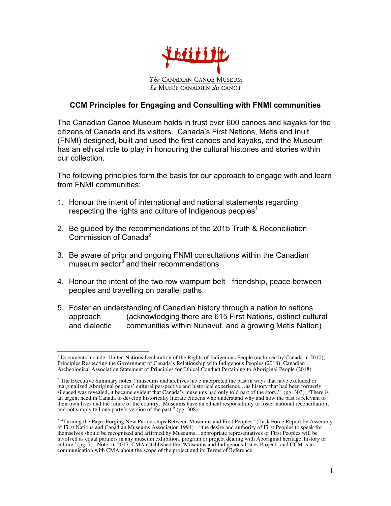

## **CCM Principles for Engaging and Consulting with FNMI communities**

The Canadian Canoe Museum holds in trust over 600 canoes and kayaks for the citizens of Canada and its visitors. Canada's First Nations, Metis and Inuit (FNMI) designed, built and used the first canoes and kayaks, and the Museum has an ethical role to play in honouring the cultural histories and stories within our collection.

The following principles form the basis for our approach to engage with and learn from FNMI communities:

- 1. Honour the intent of international and national statements regarding respecting the rights and culture of Indigenous peoples<sup>1</sup>
- 2. Be guided by the recommendations of the 2015 Truth & Reconciliation Commission of Canada<sup>2</sup>
- 3. Be aware of prior and ongoing FNMI consultations within the Canadian museum sector $3$  and their recommendations
- 4. Honour the intent of the two row wampum belt friendship, peace between peoples and travelling on parallel paths.
- 5. Foster an understanding of Canadian history through a nation to nations approach (acknowledging there are 615 First Nations, distinct cultural and dialectic communities within Nunavut, and a growing Metis Nation)

<sup>&</sup>lt;sup>1</sup> Documents include: United Nations Declaration of the Rights of Indigenous People (endorsed by Canada in 2010); Principles Respecting the Government of Canada's Relationship with Indigenous Peoples (2018); Canadian Archeological Association Statement of Principles for Ethical Conduct Pertaining to Aboriginal People (2018)

 $2$  The Executive Summary notes: "museums and archives have interpreted the past in ways that have excluded or marginalized Aboriginal peoples' cultural perspective and historical experience…as history that had been formerly silenced was revealed, it became evident that Canada's museums had only told part of the story." (pg. 303) "There is an urgent need in Canada to develop historically literate citizens who understand why and how the past is relevant to their own lives and the future of the country. Museums have an ethical responsibility to foster national reconciliation, and not simply tell one party's version of the past." (pg. 308)

<sup>&</sup>lt;sup>3</sup> "Turning the Page: Forging New Partnerships Between Museums and First Peoples" (Task Force Report by Assembly of First Nations and Canadian Museums Association 1994) – "the desire and authority of First Peoples to speak for themselves should be recognized and affirmed by Museums…appropriate representatives of First Peoples will be involved as equal partners in any museum exhibition, program or project dealing with Aboriginal heritage, history or culture" (pg. 7). Note: in 2017, CMA established the "Museums and Indigenous Issues Project" and CCM is in communication with CMA about the scope of the project and its Terms of Reference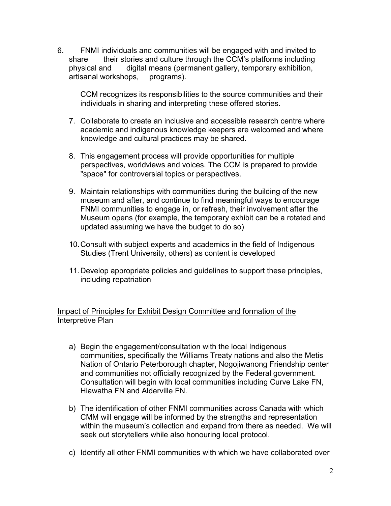6. FNMI individuals and communities will be engaged with and invited to share their stories and culture through the CCM's platforms including physical and digital means (permanent gallery, temporary exhibition, artisanal workshops, programs).

CCM recognizes its responsibilities to the source communities and their individuals in sharing and interpreting these offered stories.

- 7. Collaborate to create an inclusive and accessible research centre where academic and indigenous knowledge keepers are welcomed and where knowledge and cultural practices may be shared.
- 8. This engagement process will provide opportunities for multiple perspectives, worldviews and voices. The CCM is prepared to provide "space" for controversial topics or perspectives.
- 9. Maintain relationships with communities during the building of the new museum and after, and continue to find meaningful ways to encourage FNMI communities to engage in, or refresh, their involvement after the Museum opens (for example, the temporary exhibit can be a rotated and updated assuming we have the budget to do so)
- 10.Consult with subject experts and academics in the field of Indigenous Studies (Trent University, others) as content is developed
- 11.Develop appropriate policies and guidelines to support these principles, including repatriation

Impact of Principles for Exhibit Design Committee and formation of the Interpretive Plan

- a) Begin the engagement/consultation with the local Indigenous communities, specifically the Williams Treaty nations and also the Metis Nation of Ontario Peterborough chapter, Nogojiwanong Friendship center and communities not officially recognized by the Federal government. Consultation will begin with local communities including Curve Lake FN, Hiawatha FN and Alderville FN.
- b) The identification of other FNMI communities across Canada with which CMM will engage will be informed by the strengths and representation within the museum's collection and expand from there as needed. We will seek out storytellers while also honouring local protocol.
- c) Identify all other FNMI communities with which we have collaborated over